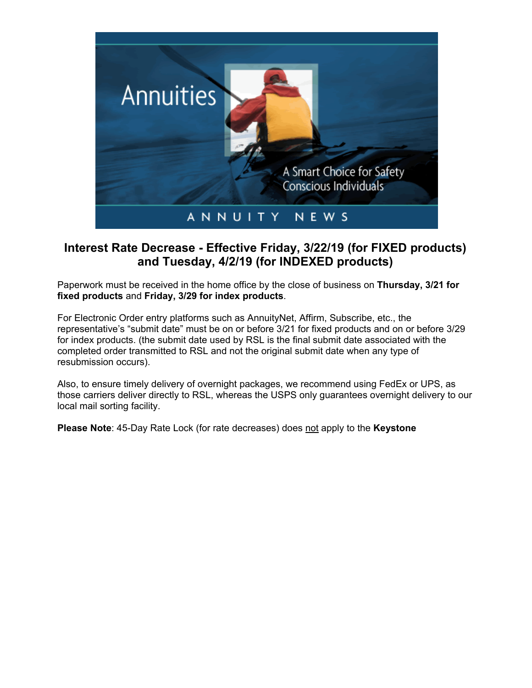

## **Interest Rate Decrease - Effective Friday, 3/22/19 (for FIXED products) and Tuesday, 4/2/19 (for INDEXED products)**

Paperwork must be received in the home office by the close of business on **Thursday, 3/21 for fixed products** and **Friday, 3/29 for index products**.

For Electronic Order entry platforms such as AnnuityNet, Affirm, Subscribe, etc., the representative's "submit date" must be on or before 3/21 for fixed products and on or before 3/29 for index products. (the submit date used by RSL is the final submit date associated with the completed order transmitted to RSL and not the original submit date when any type of resubmission occurs).

Also, to ensure timely delivery of overnight packages, we recommend using FedEx or UPS, as those carriers deliver directly to RSL, whereas the USPS only guarantees overnight delivery to our local mail sorting facility.

**Please Note**: 45-Day Rate Lock (for rate decreases) does not apply to the **Keystone**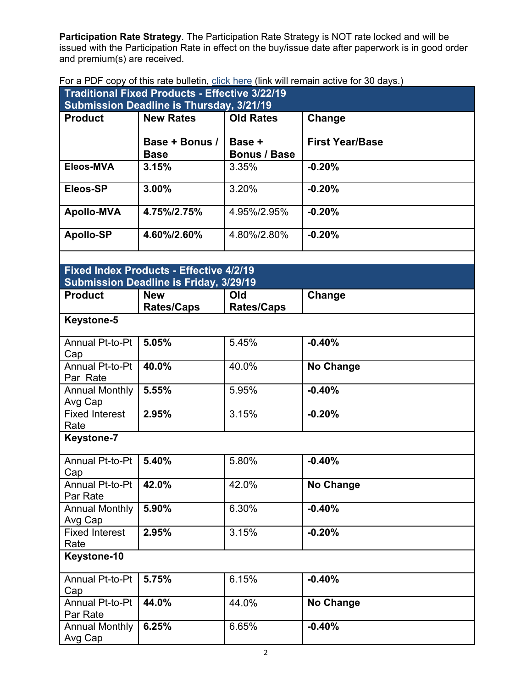**Participation Rate Strategy**. The Participation Rate Strategy is NOT rate locked and will be issued with the Participation Rate in effect on the buy/issue date after paperwork is in good order and premium(s) are received.

|  | For a PDF copy of this rate bulletin, click here (link will remain active for 30 days.) |  |  |  |
|--|-----------------------------------------------------------------------------------------|--|--|--|
|--|-----------------------------------------------------------------------------------------|--|--|--|

| or a risk copy or and rate bancari, choicinors (illus will refind the lot of days.)<br><b>Traditional Fixed Products - Effective 3/22/19</b> |                                                             |                     |                        |  |  |
|----------------------------------------------------------------------------------------------------------------------------------------------|-------------------------------------------------------------|---------------------|------------------------|--|--|
| <b>Submission Deadline is Thursday, 3/21/19</b>                                                                                              |                                                             |                     |                        |  |  |
| <b>Product</b>                                                                                                                               | <b>New Rates</b>                                            | <b>Old Rates</b>    | Change                 |  |  |
|                                                                                                                                              |                                                             |                     |                        |  |  |
|                                                                                                                                              | Base + Bonus /                                              | Base +              | <b>First Year/Base</b> |  |  |
|                                                                                                                                              | <b>Base</b>                                                 | <b>Bonus / Base</b> |                        |  |  |
| Eleos-MVA                                                                                                                                    | 3.15%                                                       | 3.35%               | $-0.20%$               |  |  |
|                                                                                                                                              |                                                             | 3.20%               |                        |  |  |
| Eleos-SP                                                                                                                                     | 3.00%                                                       |                     | $-0.20%$               |  |  |
| <b>Apollo-MVA</b>                                                                                                                            | 4.75%/2.75%                                                 | 4.95%/2.95%         | $-0.20%$               |  |  |
|                                                                                                                                              |                                                             |                     |                        |  |  |
| <b>Apollo-SP</b>                                                                                                                             | 4.60%/2.60%                                                 | 4.80%/2.80%         | $-0.20%$               |  |  |
|                                                                                                                                              |                                                             |                     |                        |  |  |
|                                                                                                                                              |                                                             |                     |                        |  |  |
|                                                                                                                                              | <b>Fixed Index Products - Effective 4/2/19</b>              |                     |                        |  |  |
| <b>Product</b>                                                                                                                               | <b>Submission Deadline is Friday, 3/29/19</b><br><b>New</b> | Old                 |                        |  |  |
|                                                                                                                                              | <b>Rates/Caps</b>                                           | <b>Rates/Caps</b>   | Change                 |  |  |
| <b>Keystone-5</b>                                                                                                                            |                                                             |                     |                        |  |  |
|                                                                                                                                              |                                                             |                     |                        |  |  |
| Annual Pt-to-Pt                                                                                                                              | 5.05%                                                       | 5.45%               | $-0.40%$               |  |  |
| Cap                                                                                                                                          |                                                             |                     |                        |  |  |
| Annual Pt-to-Pt                                                                                                                              | 40.0%                                                       | 40.0%               | <b>No Change</b>       |  |  |
| Par Rate                                                                                                                                     |                                                             |                     |                        |  |  |
| <b>Annual Monthly</b>                                                                                                                        | 5.55%                                                       | 5.95%               | $-0.40%$               |  |  |
| Avg Cap<br><b>Fixed Interest</b>                                                                                                             | 2.95%                                                       | 3.15%               | $-0.20%$               |  |  |
| Rate                                                                                                                                         |                                                             |                     |                        |  |  |
| <b>Keystone-7</b>                                                                                                                            |                                                             |                     |                        |  |  |
|                                                                                                                                              |                                                             |                     |                        |  |  |
| Annual Pt-to-Pt                                                                                                                              | 5.40%                                                       | 5.80%               | $-0.40%$               |  |  |
| Cap                                                                                                                                          |                                                             |                     |                        |  |  |
| Annual Pt-to-Pt                                                                                                                              | 42.0%                                                       | 42.0%               | No Change              |  |  |
| Par Rate                                                                                                                                     |                                                             |                     |                        |  |  |
| <b>Annual Monthly</b>                                                                                                                        | 5.90%                                                       | 6.30%               | $-0.40%$               |  |  |
| Avg Cap                                                                                                                                      |                                                             |                     |                        |  |  |
| <b>Fixed Interest</b><br>Rate                                                                                                                | 2.95%                                                       | 3.15%               | $-0.20%$               |  |  |
| Keystone-10                                                                                                                                  |                                                             |                     |                        |  |  |
|                                                                                                                                              |                                                             |                     |                        |  |  |
| Annual Pt-to-Pt                                                                                                                              | 5.75%                                                       | 6.15%               | $-0.40%$               |  |  |
| Cap                                                                                                                                          |                                                             |                     |                        |  |  |
| Annual Pt-to-Pt                                                                                                                              | 44.0%                                                       | 44.0%               | No Change              |  |  |
| Par Rate                                                                                                                                     |                                                             |                     |                        |  |  |
| <b>Annual Monthly</b>                                                                                                                        | 6.25%                                                       | 6.65%               | $-0.40%$               |  |  |
| Avg Cap                                                                                                                                      |                                                             |                     |                        |  |  |